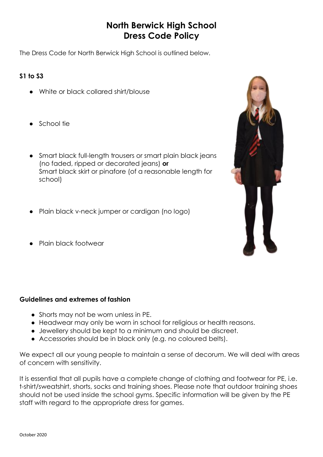# **North Berwick High School Dress Code Policy**

The Dress Code for North Berwick High School is outlined below.

## **S1 to S3**

- White or black collared shirt/blouse
- School tie
- Smart black full-length trousers or smart plain black jeans (no faded, ripped or decorated jeans) **or** Smart black skirt or pinafore (of a reasonable length for school)
- Plain black v-neck jumper or cardigan (no logo)
- Plain black footwear

## **Guidelines and extremes of fashion**

- Shorts may not be worn unless in PE.
- Headwear may only be worn in school for religious or health reasons.
- Jewellery should be kept to a minimum and should be discreet.
- Accessories should be in black only (e.g. no coloured belts).

We expect all our young people to maintain a sense of decorum. We will deal with areas of concern with sensitivity.

It is essential that all pupils have a complete change of clothing and footwear for PE, i.e. t-shirt/sweatshirt, shorts, socks and training shoes. Please note that outdoor training shoes should not be used inside the school gyms. Specific information will be given by the PE staff with regard to the appropriate dress for games.